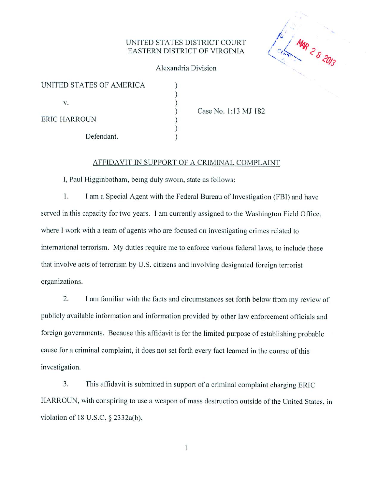# UNITED STATES DISTRICT COURT<br>EASTERN DISTRICT OF VIRGINIA (  $\frac{M_{\phi}}{R_{\phi}}$  **D**



## Alexandria Division

| UNITED STATES OF AMERICA |
|--------------------------|
| V.                       |
| ERIC HARROUN             |
| Defendant.               |

Case No. 1:13 MJ 182

## AFFIDAVIT IN SUPPORT OF A CRIMINAL COMPLAINT

I, Paul Higginbotham. being duly sworn, state as follows:

1. I am a Special Agent with the Federal Bureau of Investigation (FBI) and have served in this capacity for two years. I am currently assigned to the Washington Field Office, where I work with a team of agents who are focused on investigating crimes related to international terrorism. My duties require me to enforce various federal laws, to include those that involve acts of terrorism by U.S. citizens and involving designated foreign terrorist organizations.

2. I am familiar with the facts and circumstances set forth below from my review of publicly available information and information provided by other law enforcement officials and foreign governments. Because this affidavit is for the limited purpose of establishing probable cause for a criminal complaint, it does not set forth every fact learned in the course of this investigation.

3. This affidavit is submitted in support of a criminal complaint charging ERIC HARROUN, with conspiring to use a weapon of mass destruction outside of the United States, in violation of 18 U.S.C. § 2332a(b).

*1*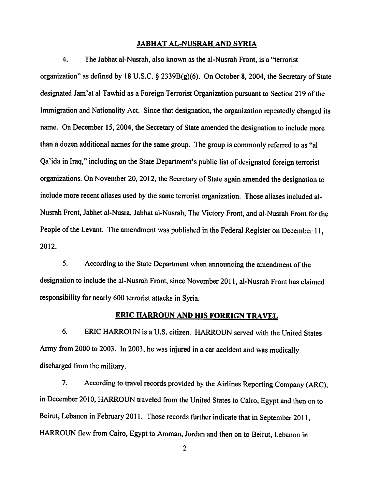## *JABHAT AL-NUSRAH AND SYRIA*

4. The Jabhat al-Nusrah, also known as the al-Nusrah Front, is a "terrorist organization" as defined by 18 U.S.C.  $\S$  2339B(g)(6). On October 8, 2004, the Secretary of State designated Jam'at al Tawhid as a Foreign Terrorist Organization pursuant to Section 219 of the Immigration and Nationality Act. Since that designation, the organization repeatedly changed its name. On December 15, 2004, the Secretary of State amended the designation to include more than a dozen additional names for the same group. The group is commonly referred to as "al Qa'ida in Iraq," including on the State Department's public list of designated foreign terrorist organizations. On November 20,2012, the Secretary of State again amended the designation to include more recent aliases used by the same terrorist organization. Those aliases included al-Nusrah Front, Jabhet al-Nusra, Jabhat al-Nusrah, The Victory Front, and al-Nusrah Front for the People of the Levant. The amendment was published in the Federal Register on December 11, 2012.

5. According to the State Department when announcing the amendment of the designation to include the al-Nusrah Front, since November 2011, al-Nusrah Front has claimed responsibility for nearly 600 terrorist attacks in Syria.

## *ERIC HARROUN AND HIS FOREIGN TRAVEL*

6. ERIC HARROUN is a U.S. citizen. HARROUN served with the United States Army from 2000 to 2003. In 2003, he was injured in a car accident and was medically discharged from the military.

7. According to travel records provided by the Airlines Reporting Company (ARC), in December 2010, HARROUN traveled from the United States to Cairo, Egypt and then on to Beirut, Lebanon in February 2011. Those records further indicate that in September 2011, HARROUN flew from Cairo, Egypt to Amman, Jordan and then on to Beirut, Lebanon in

 $\overline{2}$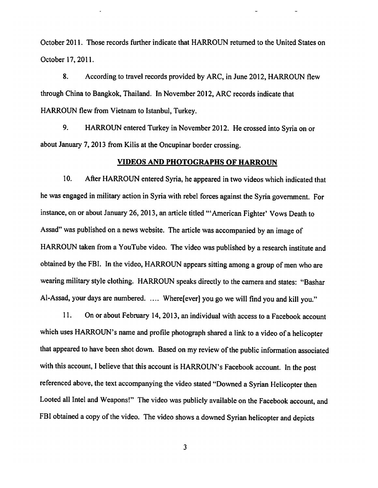October 2011. Those records further indicate that HARROUN returned to the United States on October 17,2011.

 $\mathcal{L}^{\text{max}}_{\text{max}}(\mathcal{L}^{\text{max}}_{\text{max}})$ 

8. According to travel records provided by ARC, in June 2012, HARROUN flew through China to Bangkok, Thailand. In November 2012, ARC records indicate that HARROUN flew from Vietnam to Istanbul, Turkey.

9. HARROUN entered Turkey in November 2012. He crossed into Syria on or about January 7, 2013 from Kilis at the Oncupinar border crossing.

## *VIDEOS AND PHOTOGRAPHS OF HARROUN*

10. After HARROUN entered Syria, he appeared in two videos which indicated that he was engaged in military action in Syria with rebel forces against the Syria government. For instance, on or about January 26, 2013, an article titled "'American Fighter' Vows Death to Assad" was published on a news website. The article was accompanied by an image of HARROUN taken from a YouTube video. The video was published by a research institute and obtained by the FBI. In the video, HARROUN appears sitting among a group of men who are wearing military style clothing. HARROUN speaks directly to the camera and states: "Bashar Al-Assad, your days are numbered. .... Wherefever] you go we will find you and kill you."

11. On or about February 14, 2013, an individual with access to a Facebook account which uses HARROUN's name and profile photograph shared a link to a video of a helicopter that appeared to have been shot down. Based on my review of the public information associated with this account, I believe that this account is HARROUN's Facebook account. In the post referenced above, the text accompanying the video stated "Downed a Syrian Helicopter then Looted all Intel and Weapons!" The video was publicly available on the Facebook account, and FBI obtained a copy of the video. The video shows a downed Syrian helicopter and depicts

 $\mathbf{3}$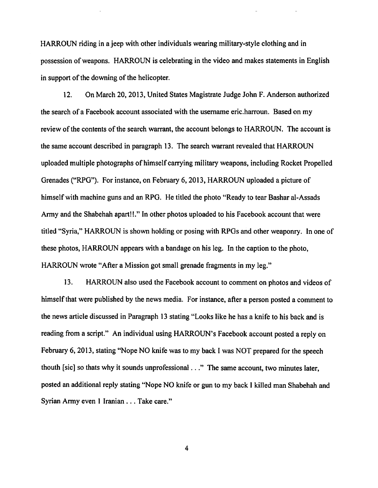HARROUN riding in a jeep with other individuals wearing military-style clothing and in possession of weapons. HARROUN is celebrating in the video and makes statements in English in support of the downing of the helicopter.

12. On March 20,2013, United States Magistrate Judge John F. Anderson authorized the search of a Facebook account associated with the username eric.harroun. Based on my review of the contents of the search warrant, the account belongs to HARROUN. The account is the same account described in paragraph 13. The search warrant revealed that HARROUN uploaded multiple photographs ofhimself carrying military weapons, including Rocket Propelled Grenades ("RPG"). For instance, on February 6,2013, HARROUN uploaded a picture of himself with machine guns and an RPG. He titled the photo "Ready to tear Bashar al-Assads Army and the Shabehah apart!!." In other photos uploaded to his Facebook account that were titled "Syria," HARROUN is shown holding or posing with RPGs and other weaponry. In one of these photos, HARROUN appears with a bandage on his leg. In the caption to the photo, HARROUN wrote "After a Mission got small grenade fragments in my leg."

13. HARROUN also used the Facebook account to comment on photos and videos of himself that were published by the news media. For instance, after a person posted a comment to the news article discussed in Paragraph 13 stating "Looks like he has a knife to his back and is reading from a script." An individual using HARROUN's Facebook account posted a reply on February 6, 2013, stating "Nope NO knife was to my back I was NOT prepared for the speech thouth [sic] so thats why it sounds unprofessional..." The same account, two minutes later, posted an additional reply stating "Nope NO knife or gun to my back I killed man Shabehah and Syrian Army even 1 Iranian ... Take care."

 $\overline{\mathbf{4}}$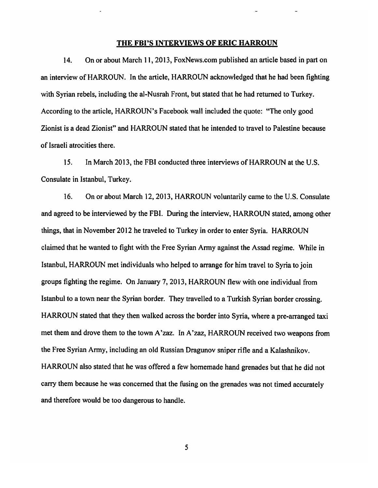## *THE FBPS INTERVIEWS OF ERIC HARROUN*

 $\mathcal{L}^{\text{max}}_{\text{max}}(\mathcal{L}^{\text{max}}_{\text{max}})$ 

14. On or about March 11,2013, FoxNews.com published an article based in part on an interview of HARROUN. In the article, HARROUN acknowledged that he had been fighting with Syrian rebels, including the al-Nusrah Front, but stated that he had returned to Turkey. According to the article, HARROUN's Facebook wall included the quote: "The only good Zionist is a dead Zionist" and HARROUN stated that he intended to travel to Palestine because of Israeli atrocities there.

15. In March 2013, the FBI conducted three interviews of HARROUN at the U.S. Consulate in Istanbul, Turkey.

16. On or about March 12,2013, HARROUN voluntarily came to the U.S. Consulate and agreed to be interviewed by the FBI. During the interview, HARROUN stated, among other things, that in November 2012 he traveled to Turkey in order to enter Syria. HARROUN claimed that he wanted to fight with the Free Syrian Army against the Assad regime. While in Istanbul, HARROUN met individuals who helped to arrange for him travel to Syria to join groups fighting the regime. On January 7,2013, HARROUN flew with one individual from Istanbul to a town near the Syrian border. They travelled to a Turkish Syrian border crossing. HARROUN stated that they then walked across the border into Syria, where a pre-arranged taxi met them and drove them to the town A'zaz. In A'zaz, HARROUN received two weapons from the Free Syrian Army, including an old Russian Dragunov sniper rifle and a Kalashnikov. HARROUN also stated that he was offered a few homemade hand grenades but that he did not carry them because he was concerned that the fusing on the grenades was not timed accurately and therefore would be too dangerous to handle.

 $5<sup>5</sup>$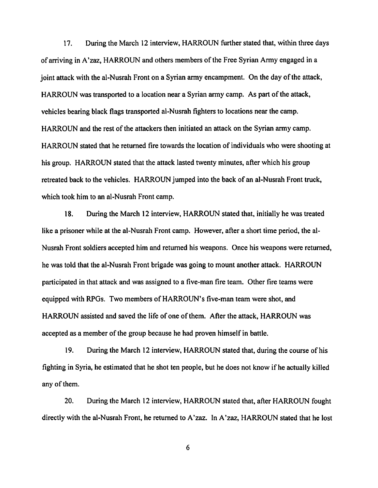17. During the March 12 interview, HARROUN further stated that, within three days of arriving in A'zaz, HARROUN and others membersofthe Free Syrian Army engaged in a joint attack with the al-Nusrah Front on a Syrian army encampment. On the day of the attack, HARROUN was transported to a location near a Syrian army camp. As part of the attack, vehicles bearing black flags transported al-Nusrah fighters to locations near the camp. HARROUN and the rest of the attackers then initiated an attack on the Syrian army camp. HARROUN stated that he returned fire towards the location of individuals who were shooting at his group. HARROUN stated that the attack lasted twenty minutes, after which his group retreated back to the vehicles. HARROUN jumped into the back of an al-Nusrah Front truck, which took him to an al-Nusrah Front camp.

18. During the March 12 interview, HARROUN stated that, initially he was treated like a prisoner while at the al-Nusrah Front camp. However, after a short time period, the al-Nusrah Front soldiers accepted him and returned his weapons. Once his weapons were returned, he was told that the al-Nusrah Front brigade was going to mount another attack. HARROUN participated in that attack and was assigned to a five-man fire team. Other fire teams were equipped with RPGs. Two members of HARROUN's five-man team were shot, and HARROUN assisted and saved the life of one of them. After the attack, HARROUN was accepted as a member of the group because he had proven himself in battle.

19. During the March 12 interview, HARROUN stated that, during the course ofhis fighting in Syria, he estimated that he shot ten people, but he does not know if he actually killed any of them.

20. During the March 12 interview, HARROUN stated that, after HARROUN fought directly with the al-Nusrah Front, he returned to A'zaz. In A'zaz, HARROUN stated that he lost

6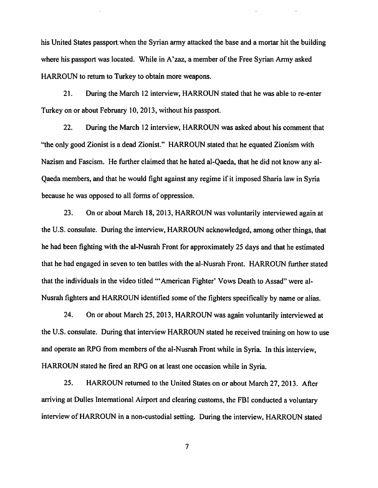his United States passport, when the Syrian army attacked the base and a mortar hit the building where his passport was located. While in A'zaz, a member of the Free Syrian Army asked HARROUN to return to Turkey to obtain more weapons.

21. During the March 12 interview, HARROUN stated that he was able to re-enter Turkey on or about February 10,2013, without his passport.

22. During the March 12 interview, HARROUN was asked about his comment that "the only good Zionist is a dead Zionist." HARROUN stated that he equated Zionism with Nazism and Fascism. He further claimed that he hated al-Qaeda, that he did not know any al-Qaeda members, and that he would fight against any regime if it imposed Sharia law in Syria because he was opposed to all forms of oppression.

23. On or about March 18, 2013, HARROUN was voluntarily interviewed again at the U.S. consulate. During the interview, HARROUN acknowledged, among other things, that he had been fighting with the al-Nusrah Front for approximately 25 days and that he estimated that he had engaged in seven to ten battles with the al-Nusrah Front. HARROUN further stated that the individuals in the video titled "'American Fighter' Vows Death to Assad" were al-Nusrah fighters and HARROUN identified some of the fighters specifically by name or alias.

24. On or about March 25, 2013, HARROUN was again voluntarily interviewed at the U.S. consulate. During that interview HARROUN stated he received training on how to use and operate an RPG from members of the al-Nusrah Front while in Syria. In this interview, HARROUN stated he fired an RPG on at least one occasion while in Syria.

25. HARROUN returned to the United States on or about March 27,2013. After arriving at Dulles International Airport and clearing customs, the FBI conducted a voluntary interview of HARROUN in a non-custodial setting. During the interview, HARROUN stated

 $\overline{7}$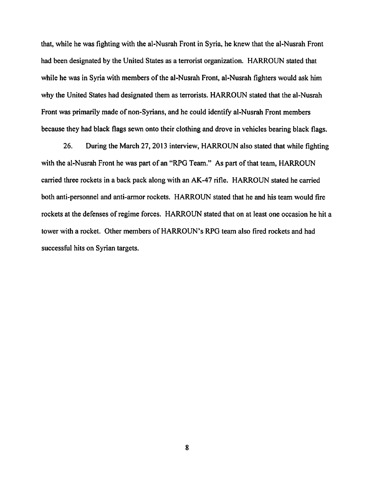that, while he was fighting with the al-Nusrah Front in Syria, he knew that the al-Nusrah Front had been designated by the United States as a terrorist organization. HARROUN stated that while he was in Syria with members of the al-Nusrah Front, al-Nusrah fighters would ask him why the United States had designated them as terrorists. HARROUN stated that the al-Nusrah Front was primarily made of non-Syrians, and he could identify al-Nusrah Front members because they had black flags sewn onto their clothing and drove in vehicles bearing black flags.

26. During the March 27,2013 interview, HARROUN also stated that while fighting with the al-Nusrah Front he was part of an "RPG Team." As part of that team, HARROUN carried three rockets in a back pack along with an AK-47 rifle. HARROUN stated he carried both anti-personnel and anti-armor rockets. HARROUN stated that he and his team would fire rockets at the defenses of regime forces. HARROUN stated that on at least one occasion he hit a tower with a rocket. Other members of HARROUN's RPG team also fired rockets and had successful hits on Syrian targets.